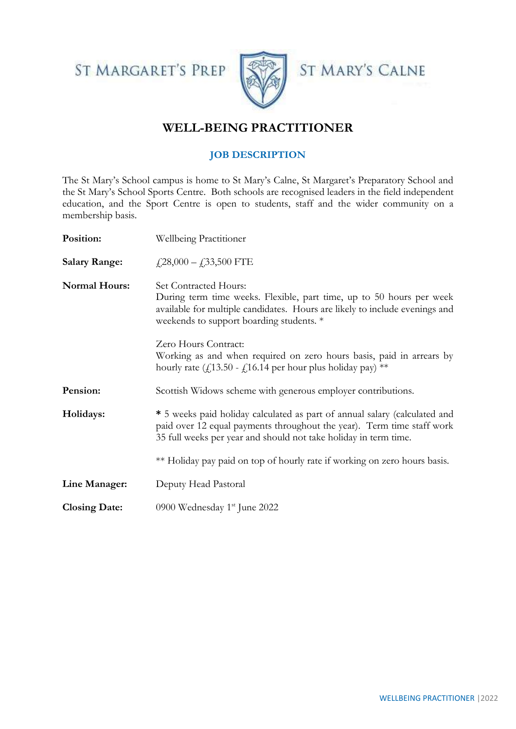ST MARGARET'S PREP





# **WELL-BEING PRACTITIONER**

# **JOB DESCRIPTION**

The St Mary's School campus is home to St Mary's Calne, St Margaret's Preparatory School and the St Mary's School Sports Centre. Both schools are recognised leaders in the field independent education, and the Sport Centre is open to students, staff and the wider community on a membership basis.

| Position:            | <b>Wellbeing Practitioner</b>                                                                                                                                                                                                   |  |  |
|----------------------|---------------------------------------------------------------------------------------------------------------------------------------------------------------------------------------------------------------------------------|--|--|
| <b>Salary Range:</b> | $\textit{\textbf{4}}$ ,28,000 – $\textit{\textbf{4}}$ ,33,500 FTE                                                                                                                                                               |  |  |
| <b>Normal Hours:</b> | <b>Set Contracted Hours:</b><br>During term time weeks. Flexible, part time, up to 50 hours per week<br>available for multiple candidates. Hours are likely to include evenings and<br>weekends to support boarding students. * |  |  |
|                      | Zero Hours Contract:<br>Working as and when required on zero hours basis, paid in arrears by<br>hourly rate ( $f(13.50 - f(16.14$ per hour plus holiday pay) **                                                                 |  |  |
| Pension:             | Scottish Widows scheme with generous employer contributions.                                                                                                                                                                    |  |  |
| Holidays:            | * 5 weeks paid holiday calculated as part of annual salary (calculated and<br>paid over 12 equal payments throughout the year). Term time staff work<br>35 full weeks per year and should not take holiday in term time.        |  |  |
|                      | ** Holiday pay paid on top of hourly rate if working on zero hours basis.                                                                                                                                                       |  |  |
| Line Manager:        | Deputy Head Pastoral                                                                                                                                                                                                            |  |  |
| <b>Closing Date:</b> | 0900 Wednesday 1 <sup>st</sup> June 2022                                                                                                                                                                                        |  |  |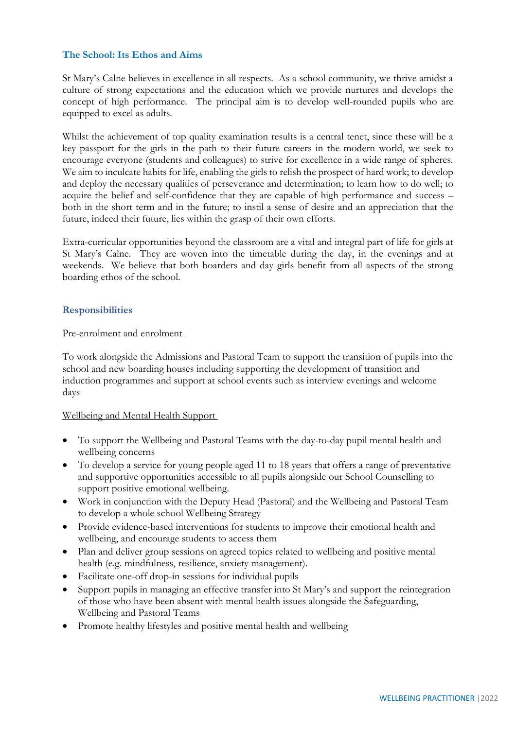## **The School: Its Ethos and Aims**

St Mary's Calne believes in excellence in all respects. As a school community, we thrive amidst a culture of strong expectations and the education which we provide nurtures and develops the concept of high performance. The principal aim is to develop well-rounded pupils who are equipped to excel as adults.

Whilst the achievement of top quality examination results is a central tenet, since these will be a key passport for the girls in the path to their future careers in the modern world, we seek to encourage everyone (students and colleagues) to strive for excellence in a wide range of spheres. We aim to inculcate habits for life, enabling the girls to relish the prospect of hard work; to develop and deploy the necessary qualities of perseverance and determination; to learn how to do well; to acquire the belief and self-confidence that they are capable of high performance and success – both in the short term and in the future; to instil a sense of desire and an appreciation that the future, indeed their future, lies within the grasp of their own efforts.

Extra-curricular opportunities beyond the classroom are a vital and integral part of life for girls at St Mary's Calne. They are woven into the timetable during the day, in the evenings and at weekends. We believe that both boarders and day girls benefit from all aspects of the strong boarding ethos of the school.

## **Responsibilities**

#### Pre-enrolment and enrolment

To work alongside the Admissions and Pastoral Team to support the transition of pupils into the school and new boarding houses including supporting the development of transition and induction programmes and support at school events such as interview evenings and welcome days

#### Wellbeing and Mental Health Support

- To support the Wellbeing and Pastoral Teams with the day-to-day pupil mental health and wellbeing concerns
- To develop a service for young people aged 11 to 18 years that offers a range of preventative and supportive opportunities accessible to all pupils alongside our School Counselling to support positive emotional wellbeing.
- Work in conjunction with the Deputy Head (Pastoral) and the Wellbeing and Pastoral Team to develop a whole school Wellbeing Strategy
- Provide evidence-based interventions for students to improve their emotional health and wellbeing, and encourage students to access them
- Plan and deliver group sessions on agreed topics related to wellbeing and positive mental health (e.g. mindfulness, resilience, anxiety management).
- Facilitate one-off drop-in sessions for individual pupils
- Support pupils in managing an effective transfer into St Mary's and support the reintegration of those who have been absent with mental health issues alongside the Safeguarding, Wellbeing and Pastoral Teams
- Promote healthy lifestyles and positive mental health and wellbeing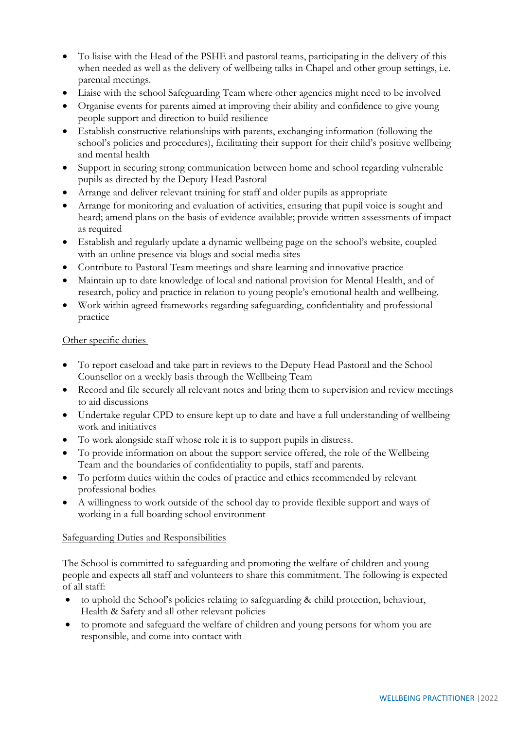- To liaise with the Head of the PSHE and pastoral teams, participating in the delivery of this when needed as well as the delivery of wellbeing talks in Chapel and other group settings, *i.e.* parental meetings.
- Liaise with the school Safeguarding Team where other agencies might need to be involved
- Organise events for parents aimed at improving their ability and confidence to give young people support and direction to build resilience
- Establish constructive relationships with parents, exchanging information (following the school's policies and procedures), facilitating their support for their child's positive wellbeing and mental health
- Support in securing strong communication between home and school regarding vulnerable pupils as directed by the Deputy Head Pastoral
- Arrange and deliver relevant training for staff and older pupils as appropriate
- Arrange for monitoring and evaluation of activities, ensuring that pupil voice is sought and heard; amend plans on the basis of evidence available; provide written assessments of impact as required
- Establish and regularly update a dynamic wellbeing page on the school's website, coupled with an online presence via blogs and social media sites
- Contribute to Pastoral Team meetings and share learning and innovative practice
- Maintain up to date knowledge of local and national provision for Mental Health, and of research, policy and practice in relation to young people's emotional health and wellbeing.
- Work within agreed frameworks regarding safeguarding, confidentiality and professional practice

## Other specific duties

- To report caseload and take part in reviews to the Deputy Head Pastoral and the School Counsellor on a weekly basis through the Wellbeing Team
- Record and file securely all relevant notes and bring them to supervision and review meetings to aid discussions
- Undertake regular CPD to ensure kept up to date and have a full understanding of wellbeing work and initiatives
- To work alongside staff whose role it is to support pupils in distress.
- To provide information on about the support service offered, the role of the Wellbeing Team and the boundaries of confidentiality to pupils, staff and parents.
- To perform duties within the codes of practice and ethics recommended by relevant professional bodies
- A willingness to work outside of the school day to provide flexible support and ways of working in a full boarding school environment

#### Safeguarding Duties and Responsibilities

The School is committed to safeguarding and promoting the welfare of children and young people and expects all staff and volunteers to share this commitment. The following is expected of all staff:

- to uphold the School's policies relating to safeguarding & child protection, behaviour, Health & Safety and all other relevant policies
- to promote and safeguard the welfare of children and young persons for whom you are responsible, and come into contact with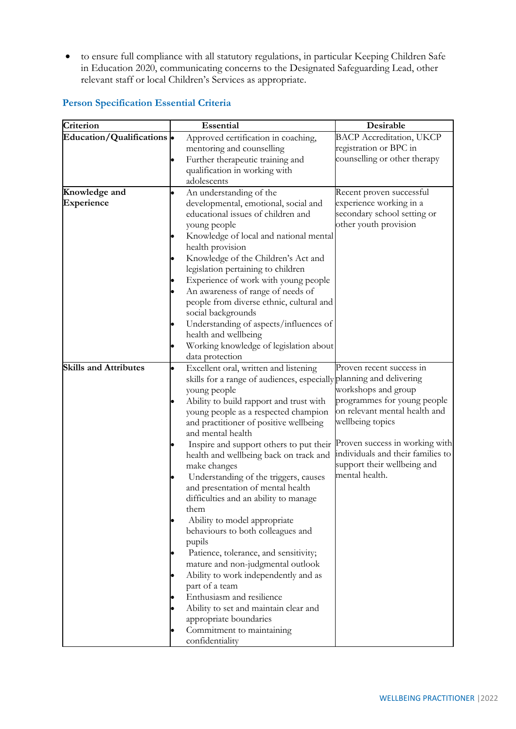• to ensure full compliance with all statutory regulations, in particular Keeping Children Safe in Education 2020, communicating concerns to the Designated Safeguarding Lead, other relevant staff or local Children's Services as appropriate.

| Criterion                    |           | Essential                                                           | Desirable                         |
|------------------------------|-----------|---------------------------------------------------------------------|-----------------------------------|
| Education/Qualifications .   |           | Approved certification in coaching,                                 | <b>BACP Accreditation, UKCP</b>   |
|                              |           | mentoring and counselling                                           | registration or BPC in            |
|                              |           | Further therapeutic training and                                    | counselling or other therapy      |
|                              |           | qualification in working with                                       |                                   |
|                              |           | adolescents                                                         |                                   |
| Knowledge and                | $\bullet$ | An understanding of the                                             | Recent proven successful          |
| Experience                   |           | developmental, emotional, social and                                | experience working in a           |
|                              |           | educational issues of children and                                  | secondary school setting or       |
|                              |           | young people                                                        | other youth provision             |
|                              |           | Knowledge of local and national mental                              |                                   |
|                              |           | health provision                                                    |                                   |
|                              |           | Knowledge of the Children's Act and                                 |                                   |
|                              |           | legislation pertaining to children                                  |                                   |
|                              |           | Experience of work with young people                                |                                   |
|                              |           | An awareness of range of needs of                                   |                                   |
|                              |           | people from diverse ethnic, cultural and                            |                                   |
|                              |           | social backgrounds                                                  |                                   |
|                              | $\bullet$ | Understanding of aspects/influences of                              |                                   |
|                              |           | health and wellbeing<br>Working knowledge of legislation about      |                                   |
|                              |           | data protection                                                     |                                   |
| <b>Skills and Attributes</b> | $\bullet$ | Excellent oral, written and listening                               | Proven recent success in          |
|                              |           | skills for a range of audiences, especially planning and delivering |                                   |
|                              |           | young people                                                        | workshops and group               |
|                              |           | Ability to build rapport and trust with                             | programmes for young people       |
|                              |           | young people as a respected champion                                | on relevant mental health and     |
|                              |           | and practitioner of positive wellbeing                              | wellbeing topics                  |
|                              |           | and mental health                                                   |                                   |
|                              |           | Inspire and support others to put their                             | Proven success in working with    |
|                              |           | health and wellbeing back on track and                              | individuals and their families to |
|                              |           | make changes                                                        | support their wellbeing and       |
|                              |           | Understanding of the triggers, causes                               | mental health.                    |
|                              |           | and presentation of mental health                                   |                                   |
|                              |           | difficulties and an ability to manage                               |                                   |
|                              |           | them                                                                |                                   |
|                              |           | Ability to model appropriate                                        |                                   |
|                              |           | behaviours to both colleagues and                                   |                                   |
|                              |           | pupils                                                              |                                   |
|                              |           | Patience, tolerance, and sensitivity;                               |                                   |
|                              |           | mature and non-judgmental outlook                                   |                                   |
|                              |           | Ability to work independently and as                                |                                   |
|                              |           | part of a team                                                      |                                   |
|                              |           | Enthusiasm and resilience                                           |                                   |
|                              |           | Ability to set and maintain clear and                               |                                   |
|                              |           | appropriate boundaries                                              |                                   |
|                              |           | Commitment to maintaining                                           |                                   |
|                              |           | confidentiality                                                     |                                   |

## **Person Specification Essential Criteria**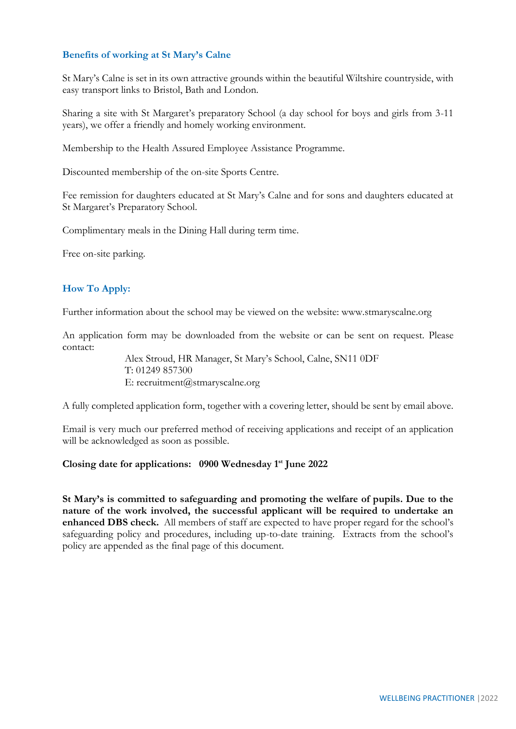## **Benefits of working at St Mary's Calne**

St Mary's Calne is set in its own attractive grounds within the beautiful Wiltshire countryside, with easy transport links to Bristol, Bath and London.

Sharing a site with St Margaret's preparatory School (a day school for boys and girls from 3-11 years), we offer a friendly and homely working environment.

Membership to the Health Assured Employee Assistance Programme.

Discounted membership of the on-site Sports Centre.

Fee remission for daughters educated at St Mary's Calne and for sons and daughters educated at St Margaret's Preparatory School.

Complimentary meals in the Dining Hall during term time.

Free on-site parking.

## **How To Apply:**

Further information about the school may be viewed on the website: www.stmaryscalne.org

An application form may be downloaded from the website or can be sent on request. Please contact:

> Alex Stroud, HR Manager, St Mary's School, Calne, SN11 0DF T: 01249 857300 E: recruitment@stmaryscalne.org

A fully completed application form, together with a covering letter, should be sent by email above.

Email is very much our preferred method of receiving applications and receipt of an application will be acknowledged as soon as possible.

#### **Closing date for applications: 0900 Wednesday 1st June 2022**

**St Mary's is committed to safeguarding and promoting the welfare of pupils. Due to the nature of the work involved, the successful applicant will be required to undertake an enhanced DBS check.** All members of staff are expected to have proper regard for the school's safeguarding policy and procedures, including up-to-date training. Extracts from the school's policy are appended as the final page of this document.